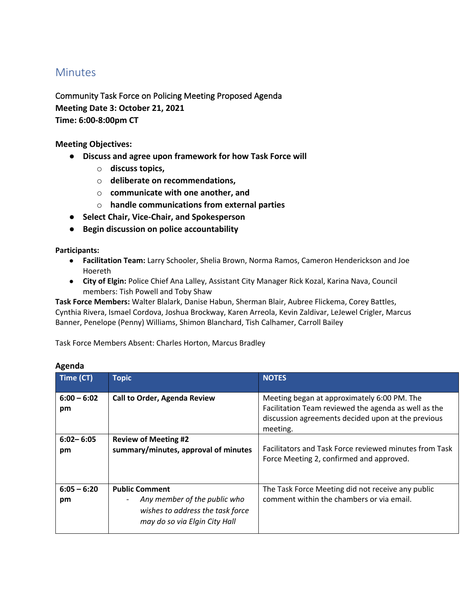## **Minutes**

Community Task Force on Policing Meeting Proposed Agenda **Meeting Date 3: October 21, 2021 Time: 6:00-8:00pm CT** 

**Meeting Objectives:**

- **Discuss and agree upon framework for how Task Force will** 
	- o **discuss topics,**
	- o **deliberate on recommendations,**
	- o **communicate with one another, and**
	- o **handle communications from external parties**
- **Select Chair, Vice-Chair, and Spokesperson**
- **Begin discussion on police accountability**

**Participants:**

- **Facilitation Team:** Larry Schooler, Shelia Brown, Norma Ramos, Cameron Henderickson and Joe Hoereth
- **City of Elgin:** Police Chief Ana Lalley, Assistant City Manager Rick Kozal, Karina Nava, Council members: Tish Powell and Toby Shaw

**Task Force Members:** Walter Blalark, Danise Habun, Sherman Blair, Aubree Flickema, Corey Battles, Cynthia Rivera, Ismael Cordova, Joshua Brockway, Karen Arreola, Kevin Zaldivar, LeJewel Crigler, Marcus Banner, Penelope (Penny) Williams, Shimon Blanchard, Tish Calhamer, Carroll Bailey

Task Force Members Absent: Charles Horton, Marcus Bradley

| Time (CT)           | <b>Topic</b>                                                                                                                                           | <b>NOTES</b>                                                                                                                                                          |
|---------------------|--------------------------------------------------------------------------------------------------------------------------------------------------------|-----------------------------------------------------------------------------------------------------------------------------------------------------------------------|
| $6:00 - 6:02$<br>pm | <b>Call to Order, Agenda Review</b>                                                                                                                    | Meeting began at approximately 6:00 PM. The<br>Facilitation Team reviewed the agenda as well as the<br>discussion agreements decided upon at the previous<br>meeting. |
| $6:02 - 6:05$<br>pm | <b>Review of Meeting #2</b><br>summary/minutes, approval of minutes                                                                                    | Facilitators and Task Force reviewed minutes from Task<br>Force Meeting 2, confirmed and approved.                                                                    |
| $6:05 - 6:20$<br>pm | <b>Public Comment</b><br>Any member of the public who<br>$\overline{\phantom{a}}$<br>wishes to address the task force<br>may do so via Elgin City Hall | The Task Force Meeting did not receive any public<br>comment within the chambers or via email.                                                                        |

## **Agenda**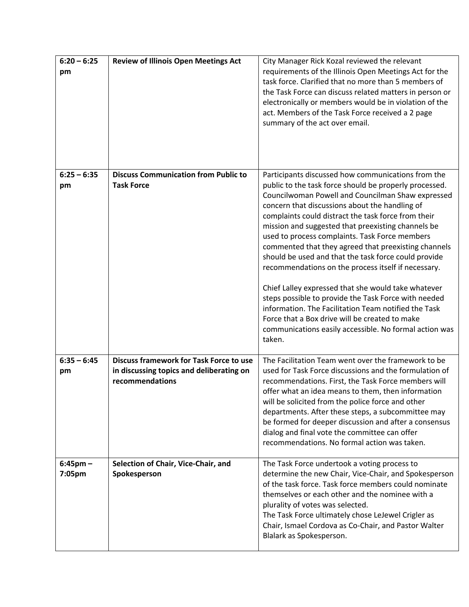| $6:20 - 6:25$<br>pm   | <b>Review of Illinois Open Meetings Act</b>                                                                   | City Manager Rick Kozal reviewed the relevant<br>requirements of the Illinois Open Meetings Act for the<br>task force. Clarified that no more than 5 members of<br>the Task Force can discuss related matters in person or<br>electronically or members would be in violation of the<br>act. Members of the Task Force received a 2 page<br>summary of the act over email.                                                                                                                                                                                                                                                                                                                                                                                                                                                                             |
|-----------------------|---------------------------------------------------------------------------------------------------------------|--------------------------------------------------------------------------------------------------------------------------------------------------------------------------------------------------------------------------------------------------------------------------------------------------------------------------------------------------------------------------------------------------------------------------------------------------------------------------------------------------------------------------------------------------------------------------------------------------------------------------------------------------------------------------------------------------------------------------------------------------------------------------------------------------------------------------------------------------------|
| $6:25 - 6:35$<br>pm   | <b>Discuss Communication from Public to</b><br><b>Task Force</b>                                              | Participants discussed how communications from the<br>public to the task force should be properly processed.<br>Councilwoman Powell and Councilman Shaw expressed<br>concern that discussions about the handling of<br>complaints could distract the task force from their<br>mission and suggested that preexisting channels be<br>used to process complaints. Task Force members<br>commented that they agreed that preexisting channels<br>should be used and that the task force could provide<br>recommendations on the process itself if necessary.<br>Chief Lalley expressed that she would take whatever<br>steps possible to provide the Task Force with needed<br>information. The Facilitation Team notified the Task<br>Force that a Box drive will be created to make<br>communications easily accessible. No formal action was<br>taken. |
| $6:35 - 6:45$<br>pm   | <b>Discuss framework for Task Force to use</b><br>in discussing topics and deliberating on<br>recommendations | The Facilitation Team went over the framework to be<br>used for Task Force discussions and the formulation of<br>recommendations. First, the Task Force members will<br>offer what an idea means to them, then information<br>will be solicited from the police force and other<br>departments. After these steps, a subcommittee may<br>be formed for deeper discussion and after a consensus<br>dialog and final vote the committee can offer<br>recommendations. No formal action was taken.                                                                                                                                                                                                                                                                                                                                                        |
| $6:45$ pm –<br>7:05pm | Selection of Chair, Vice-Chair, and<br>Spokesperson                                                           | The Task Force undertook a voting process to<br>determine the new Chair, Vice-Chair, and Spokesperson<br>of the task force. Task force members could nominate<br>themselves or each other and the nominee with a<br>plurality of votes was selected.<br>The Task Force ultimately chose LeJewel Crigler as<br>Chair, Ismael Cordova as Co-Chair, and Pastor Walter<br>Blalark as Spokesperson.                                                                                                                                                                                                                                                                                                                                                                                                                                                         |